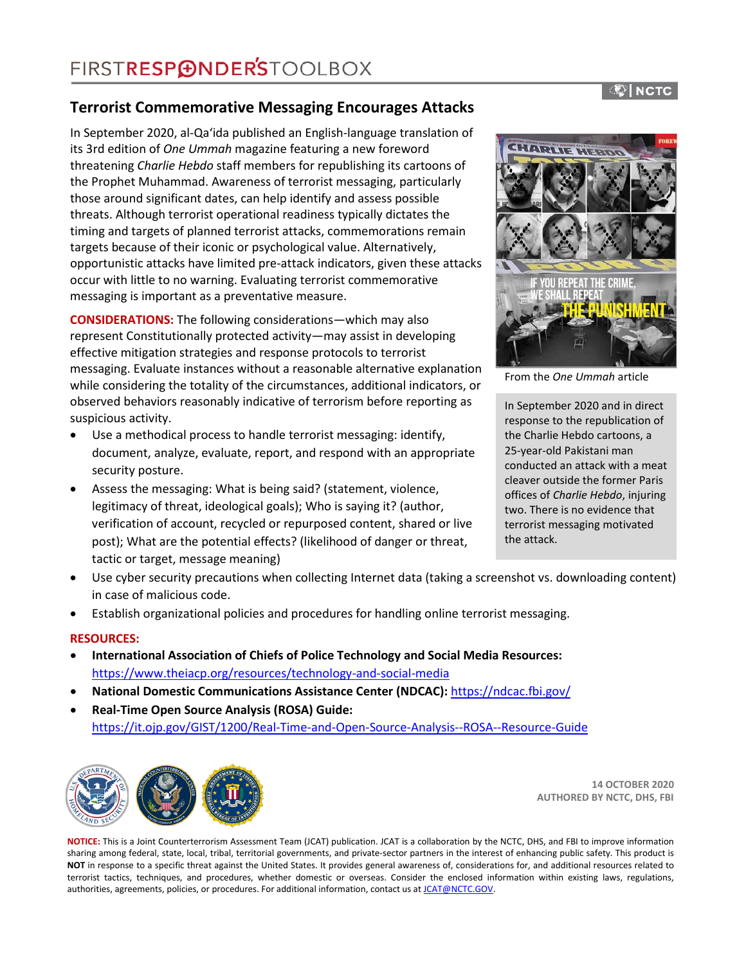## **Terrorist Commemorative Messaging Encourages Attacks**

In September 2020, al-Qaʻida published an English-language translation of its 3rd edition of *One Ummah* magazine featuring a new foreword threatening *Charlie Hebdo* staff members for republishing its cartoons of the Prophet Muhammad. Awareness of terrorist messaging, particularly those around significant dates, can help identify and assess possible threats. Although terrorist operational readiness typically dictates the timing and targets of planned terrorist attacks, commemorations remain targets because of their iconic or psychological value. Alternatively, opportunistic attacks have limited pre-attack indicators, given these attacks occur with little to no warning. Evaluating terrorist commemorative messaging is important as a preventative measure.

**CONSIDERATIONS:** The following considerations—which may also represent Constitutionally protected activity—may assist in developing effective mitigation strategies and response protocols to terrorist messaging. Evaluate instances without a reasonable alternative explanation while considering the totality of the circumstances, additional indicators, or observed behaviors reasonably indicative of terrorism before reporting as suspicious activity.

- Use a methodical process to handle terrorist messaging: identify, document, analyze, evaluate, report, and respond with an appropriate security posture.
- Assess the messaging: What is being said? (statement, violence, legitimacy of threat, ideological goals); Who is saying it? (author, verification of account, recycled or repurposed content, shared or live post); What are the potential effects? (likelihood of danger or threat, tactic or target, message meaning)



From the *One Ummah* article

In September 2020 and in direct response to the republication of the Charlie Hebdo cartoons, a 25-year-old Pakistani man conducted an attack with a meat cleaver outside the former Paris offices of *Charlie Hebdo*, injuring two. There is no evidence that terrorist messaging motivated the attack.

- Use cyber security precautions when collecting Internet data (taking a screenshot vs. downloading content) in case of malicious code.
- Establish organizational policies and procedures for handling online terrorist messaging.

### **RESOURCES:**

- **International Association of Chiefs of Police Technology and Social Media Resources:** https://www.theiacp.org/resources/technology-and-social-media
- **National Domestic Communications Assistance Center (NDCAC):** <https://ndcac.fbi.gov/>
- **Real-Time Open Source Analysis (ROSA) Guide:** <https://it.ojp.gov/GIST/1200/Real-Time-and-Open-Source-Analysis--ROSA--Resource-Guide>



**14 OCTOBER 2020 AUTHORED BY NCTC, DHS, FBI**

**NOTICE:** This is a Joint Counterterrorism Assessment Team (JCAT) publication. JCAT is a collaboration by the NCTC, DHS, and FBI to improve information sharing among federal, state, local, tribal, territorial governments, and private-sector partners in the interest of enhancing public safety. This product is **NOT** in response to a specific threat against the United States. It provides general awareness of, considerations for, and additional resources related to terrorist tactics, techniques, and procedures, whether domestic or overseas. Consider the enclosed information within existing laws, regulations, authorities, agreements, policies, or procedures. For additional information, contact us at JCAT@NCTC.GOV.

## ®⊺NCTC